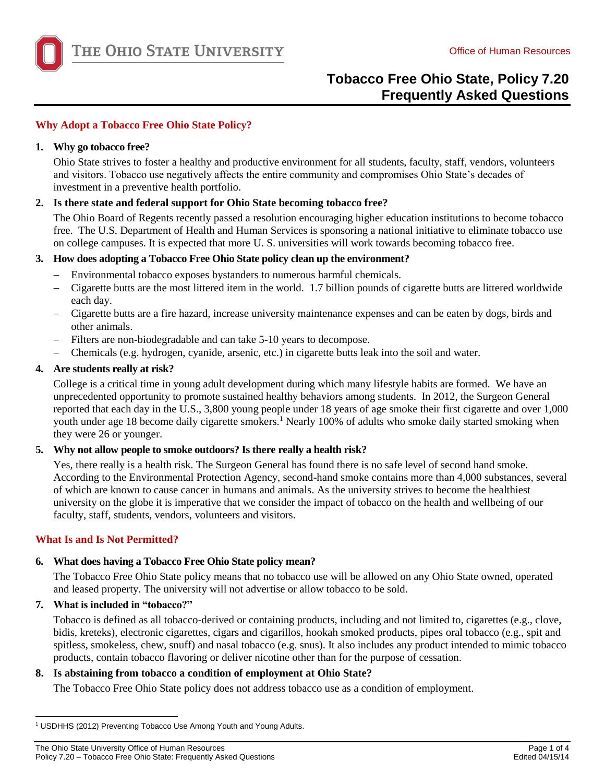

## **Why Adopt a Tobacco Free Ohio State Policy?**

### **1. Why go tobacco free?**

 Ohio State strives to foster a healthy and productive environment for all students, faculty, staff, vendors, volunteers and visitors. Tobacco use negatively affects the entire community and compromises Ohio State's decades of investment in a preventive health portfolio.

## **2. Is there state and federal support for Ohio State becoming tobacco free?**

The Ohio Board of Regents recently passed a resolution encouraging higher education institutions to become tobacco free. The U.S. Department of Health and Human Services is sponsoring a national initiative to eliminate tobacco use on college campuses. It is expected that more U. S. universities will work towards becoming tobacco free.

### **3. How does adopting a Tobacco Free Ohio State policy clean up the environment?**

- $\,$ Environmental tobacco exposes bystanders to numerous harmful chemicals.
- $\overline{\phantom{0}}$ Cigarette butts are the most littered item in the world. 1.7 billion pounds of cigarette butts are littered worldwide each day.
- Cigarette butts are a fire hazard, increase university maintenance expenses and can be eaten by dogs, birds and other animals.
- Filters are non-biodegradable and can take 5-10 years to decompose.
- $\overline{\phantom{a}}$ Chemicals (e.g. hydrogen, cyanide, arsenic, etc.) in cigarette butts leak into the soil and water.

### **4. Are students really at risk?**

College is a critical time in young adult development during which many lifestyle habits are formed. We have an unprecedented opportunity to promote sustained healthy behaviors among students. In 2012, the Surgeon General reported that each day in the U.S., 3,800 young people under 18 years of age smoke their first cigarette and over 1,000 youth under age 18 become daily cigarette smokers.<sup>1</sup> Nearly 100% of adults who smoke daily started smoking when they were 26 or younger.

### **5. Why not allow people to smoke outdoors? Is there really a health risk?**

 university on the globe it is imperative that we consider the impact of tobacco on the health and wellbeing of our Yes, there really is a health risk. The Surgeon General has found there is no safe level of second hand smoke. According to the Environmental Protection Agency, second-hand smoke contains more than 4,000 substances, several of which are known to cause cancer in humans and animals. As the university strives to become the healthiest faculty, staff, students, vendors, volunteers and visitors.

### **What Is and Is Not Permitted?**

# **6. What does having a Tobacco Free Ohio State policy mean?**

The Tobacco Free Ohio State policy means that no tobacco use will be allowed on any Ohio State owned, operated and leased property. The university will not advertise or allow tobacco to be sold.

### **7. What is included in "tobacco?"**

l

Tobacco is defined as all tobacco-derived or containing products, including and not limited to, cigarettes (e.g., clove, bidis, kreteks), electronic cigarettes, cigars and cigarillos, hookah smoked products, pipes oral tobacco (e.g., spit and spitless, smokeless, chew, snuff) and nasal tobacco (e.g. snus). It also includes any product intended to mimic tobacco products, contain tobacco flavoring or deliver nicotine other than for the purpose of cessation.

# **8. Is abstaining from tobacco a condition of employment at Ohio State?**

The Tobacco Free Ohio State policy does not address tobacco use as a condition of employment.

The Ohio State University Office of Human Resources **Page 1 of 4** and 2008 and 2008 and 2008 and 2008 and 2008 and 2008 and 2008 and 2008 and 2008 and 2008 and 2008 and 2008 and 2008 and 2008 and 2008 and 2008 and 2008 and Policy 7.20 – Tobacco Free Ohio State: Frequently Asked Questions **Edited 04/15/14** Controller Controller Controller Controller Controller Controller Controller Controller Controller Controller Controller Controller Contro

<sup>&</sup>lt;sup>1</sup> USDHHS (2012) Preventing Tobacco Use Among Youth and Young Adults.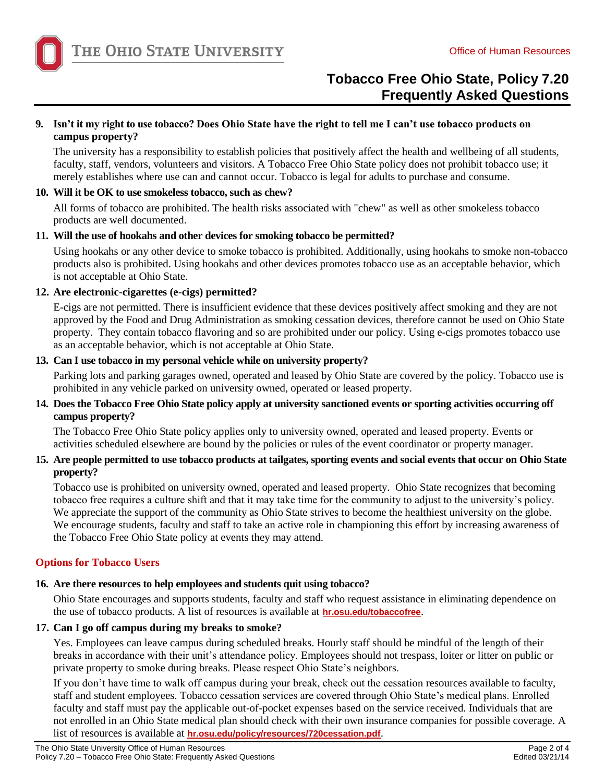

## **9. Isn't it my right to use tobacco? Does Ohio State have the right to tell me I can't use tobacco products on campus property?**

 faculty, staff, vendors, volunteers and visitors. A Tobacco Free Ohio State policy does not prohibit tobacco use; it merely establishes where use can and cannot occur. Tobacco is legal for adults to purchase and consume. The university has a responsibility to establish policies that positively affect the health and wellbeing of all students,

## **10. Will it be OK to use smokeless tobacco, such as chew?**

All forms of tobacco are prohibited. The health risks associated with "chew" as well as other smokeless tobacco products are well documented.

## **11. Will the use of hookahs and other devices for smoking tobacco be permitted?**

 Using hookahs or any other device to smoke tobacco is prohibited. Additionally, using hookahs to smoke non-tobacco products also is prohibited. Using hookahs and other devices promotes tobacco use as an acceptable behavior, which is not acceptable at Ohio State.

## **12. Are electronic-cigarettes (e-cigs) permitted?**

 E-cigs are not permitted. There is insufficient evidence that these devices positively affect smoking and they are not as an acceptable behavior, which is not acceptable at Ohio State. approved by the Food and Drug Administration as smoking cessation devices, therefore cannot be used on Ohio State property. They contain tobacco flavoring and so are prohibited under our policy. Using e-cigs promotes tobacco use

## **13. Can I use tobacco in my personal vehicle while on university property?**

Parking lots and parking garages owned, operated and leased by Ohio State are covered by the policy. Tobacco use is prohibited in any vehicle parked on university owned, operated or leased property.

# **14. Does the Tobacco Free Ohio State policy apply at university sanctioned events or sporting activities occurring off campus property?**

The Tobacco Free Ohio State policy applies only to university owned, operated and leased property. Events or activities scheduled elsewhere are bound by the policies or rules of the event coordinator or property manager.

# **15. Are people permitted to use tobacco products at tailgates, sporting events and social events that occur on Ohio State property?**

Tobacco use is prohibited on university owned, operated and leased property. Ohio State recognizes that becoming tobacco free requires a culture shift and that it may take time for the community to adjust to the university's policy. We appreciate the support of the community as Ohio State strives to become the healthiest university on the globe. We encourage students, faculty and staff to take an active role in championing this effort by increasing awareness of the Tobacco Free Ohio State policy at events they may attend.

# **Options for Tobacco Users**

# **16. Are there resources to help employees and students quit using tobacco?**

Ohio State encourages and supports students, faculty and staff who request assistance in eliminating dependence on the use of tobacco products. A list of resources is available at **[hr.osu.edu/tobaccofree](http://hr.osu.edu/tobaccofree/)**.

# **17. Can I go off campus during my breaks to smoke?**

Yes. Employees can leave campus during scheduled breaks. Hourly staff should be mindful of the length of their breaks in accordance with their unit's attendance policy. Employees should not trespass, loiter or litter on public or private property to smoke during breaks. Please respect Ohio State's neighbors.

If you don't have time to walk off campus during your break, check out the cessation resources available to faculty, staff and student employees. Tobacco cessation services are covered through Ohio State's medical plans. Enrolled faculty and staff must pay the applicable out-of-pocket expenses based on the service received. Individuals that are not enrolled in an Ohio State medical plan should check with their own insurance companies for possible coverage. A list of resources is available at **[hr.osu.edu/policy/resources/720cessation.pdf](http://hr.osu.edu/policy/resources/720cessation.pdf)**.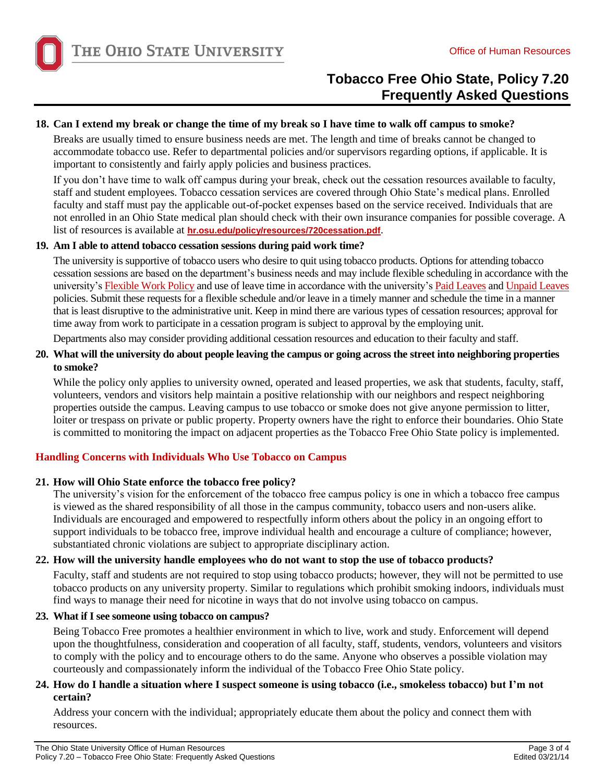

## **18. Can I extend my break or change the time of my break so I have time to walk off campus to smoke?**

Breaks are usually timed to ensure business needs are met. The length and time of breaks cannot be changed to accommodate tobacco use. Refer to departmental policies and/or supervisors regarding options, if applicable. It is important to consistently and fairly apply policies and business practices.

If you don't have time to walk off campus during your break, check out the cessation resources available to faculty, staff and student employees. Tobacco cessation services are covered through Ohio State's medical plans. Enrolled faculty and staff must pay the applicable out-of-pocket expenses based on the service received. Individuals that are not enrolled in an Ohio State medical plan should check with their own insurance companies for possible coverage. A list of resources is available at **[hr.osu.edu/policy/resources/720cessation.pdf](http://hr.osu.edu/policy/resources/720cessation.pdf)**.

### **19. Am I able to attend tobacco cessation sessions during paid work time?**

 The university is supportive of tobacco users who desire to quit using tobacco products. Options for attending tobacco cessation sessions are based on the department's business needs and may include flexible scheduling in accordance with the university's [Flexible Work Policy](http://hr.osu.edu/policy/policy612.pdf) and use of leave time in accordance with the university'[s Paid Leaves](http://hr.osu.edu/policy/policy627.pdf) and Unpaid Leaves policies. Submit these requests for a flexible schedule and/or leave in a timely manner and schedule the time in a manner that is least disruptive to the administrative unit. Keep in mind there are various types of cessation resources; approval for time away from work to participate in a cessation program is subject to approval by the employing unit.

Departments also may consider providing additional cessation resources and education to their faculty and staff.

## **20. What will the university do about people leaving the campus or going across the street into neighboring properties to smoke?**

 properties outside the campus. Leaving campus to use tobacco or smoke does not give anyone permission to litter, While the policy only applies to university owned, operated and leased properties, we ask that students, faculty, staff, volunteers, vendors and visitors help maintain a positive relationship with our neighbors and respect neighboring loiter or trespass on private or public property. Property owners have the right to enforce their boundaries. Ohio State is committed to monitoring the impact on adjacent properties as the Tobacco Free Ohio State policy is implemented.

# **Handling Concerns with Individuals Who Use Tobacco on Campus**

# **21. How will Ohio State enforce the tobacco free policy?**

The university's vision for the enforcement of the tobacco free campus policy is one in which a tobacco free campus is viewed as the shared responsibility of all those in the campus community, tobacco users and non-users alike. Individuals are encouraged and empowered to respectfully inform others about the policy in an ongoing effort to support individuals to be tobacco free, improve individual health and encourage a culture of compliance; however, substantiated chronic violations are subject to appropriate disciplinary action.

# **22. How will the university handle employees who do not want to stop the use of tobacco products?**

 Faculty, staff and students are not required to stop using tobacco products; however, they will not be permitted to use tobacco products on any university property. Similar to regulations which prohibit smoking indoors, individuals must find ways to manage their need for nicotine in ways that do not involve using tobacco on campus.

### **23. What if I see someone using tobacco on campus?**

Being Tobacco Free promotes a healthier environment in which to live, work and study. Enforcement will depend upon the thoughtfulness, consideration and cooperation of all faculty, staff, students, vendors, volunteers and visitors to comply with the policy and to encourage others to do the same. Anyone who observes a possible violation may courteously and compassionately inform the individual of the Tobacco Free Ohio State policy.

## **24. How do I handle a situation where I suspect someone is using tobacco (i.e., smokeless tobacco) but I'm not certain?**

Address your concern with the individual; appropriately educate them about the policy and connect them with resources.